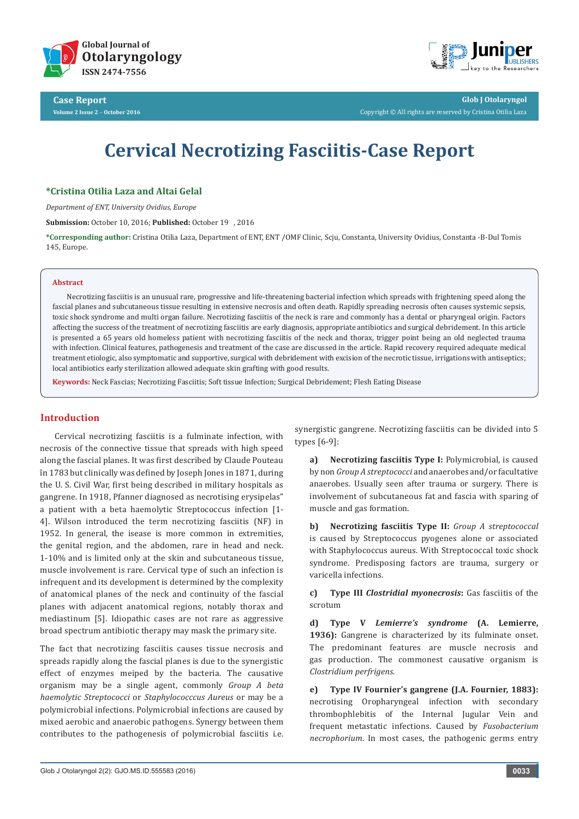



**Glob J Otolaryngol** Copyright © All rights are reserved by Cristina Otilia Laza

# **Cervical Necrotizing Fasciitis-Case Report**

# **\*Cristina Otilia Laza and Altai Gelal**

*Department of ENT, University Ovidius, Europe*

**Submission:** October 10, 2016; **Published:** October 19 , 2016

**\*Corresponding author:** Cristina Otilia Laza, Department of ENT, ENT /OMF Clinic, Scju, Constanta, University Ovidius, Constanta -B-Dul Tomis 145, Europe.

#### **Abstract**

Necrotizing fasciitis is an unusual rare, progressive and life-threatening bacterial infection which spreads with frightening speed along the fascial planes and subcutaneous tissue resulting in extensive necrosis and often death. Rapidly spreading necrosis often causes systemic sepsis, toxic shock syndrome and multi organ failure. Necrotizing fasciitis of the neck is rare and commonly has a dental or pharyngeal origin. Factors affecting the success of the treatment of necrotizing fasciitis are early diagnosis, appropriate antibiotics and surgical debridement. In this article is presented a 65 years old homeless patient with necrotizing fasciitis of the neck and thorax, trigger point being an old neglected trauma with infection. Clinical features, pathogenesis and treatment of the case are discussed in the article. Rapid recovery required adequate medical treatment etiologic, also symptomatic and supportive, surgical with debridement with excision of the necrotic tissue, irrigations with antiseptics; local antibiotics early sterilization allowed adequate skin grafting with good results.

**Keywords:** Neck Fascias; Necrotizing Fasciitis; Soft tissue Infection; Surgical Debridement; Flesh Eating Disease

# **Introduction**

Cervical necrotizing fasciitis is a fulminate infection, with necrosis of the connective tissue that spreads with high speed along the fascial planes. It was first described by Claude Pouteau în 1783 but clinically was defined by Joseph Jones in 1871, during the U. S. Civil War, first being described in military hospitals as gangrene. In 1918, Pfanner diagnosed as necrotising erysipelas" a patient with a beta haemolytic Streptococcus infection [1- 4]. Wilson introduced the term necrotizing fasciitis (NF) in 1952. In general, the isease is more common in extremities, the genital region, and the abdomen, rare in head and neck. 1-10% and is limited only at the skin and subcutaneous tissue, muscle involvement is rare. Cervical type of such an infection is infrequent and its development is determined by the complexity of anatomical planes of the neck and continuity of the fascial planes with adjacent anatomical regions, notably thorax and mediastinum [5]. Idiopathic cases are not rare as aggressive broad spectrum antibiotic therapy may mask the primary site.

The fact that necrotizing fasciitis causes tissue necrosis and spreads rapidly along the fascial planes is due to the synergistic effect of enzymes meiped by the bacteria. The causative organism may be a single agent, commonly *Group A beta haemolytic Streptococci* or *Staphylococccus Aureus* or may be a polymicrobial infections. Polymicrobial infections are caused by mixed aerobic and anaerobic pathogens. Synergy between them contributes to the pathogenesis of polymicrobial fasciitis i.e. synergistic gangrene. Necrotizing fasciitis can be divided into 5 types [6-9]:

**a) Necrotizing fasciitis Type I:** Polymicrobial, is caused by non *Group A streptococci* and anaerobes and/or facultative anaerobes. Usually seen after trauma or surgery. There is involvement of subcutaneous fat and fascia with sparing of muscle and gas formation.

**b) Necrotizing fasciitis Type II:** *Group A streptococcal* is caused by Streptococcus pyogenes alone or associated with Staphylococcus aureus. With Streptococcal toxic shock syndrome. Predisposing factors are trauma, surgery or varicella infections.

**c) Type III** *Clostridial myonecrosis***:** Gas fasciitis of the scrotum

**d) Type V** *Lemierre's syndrome* **(A. Lemierre, 1936):** Gangrene is characterized by its fulminate onset. The predominant features are muscle necrosis and gas production. The commonest causative organism is *Clostridium perfrigens.* 

**e) Type IV Fournier's gangrene (J.A. Fournier, 1883):** necrotising Oropharyngeal infection with secondary thrombophlebitis of the Internal Jugular Vein and frequent metastatic infections. Caused by *Fusobacterium necrophorium*. In most cases, the pathogenic germs entry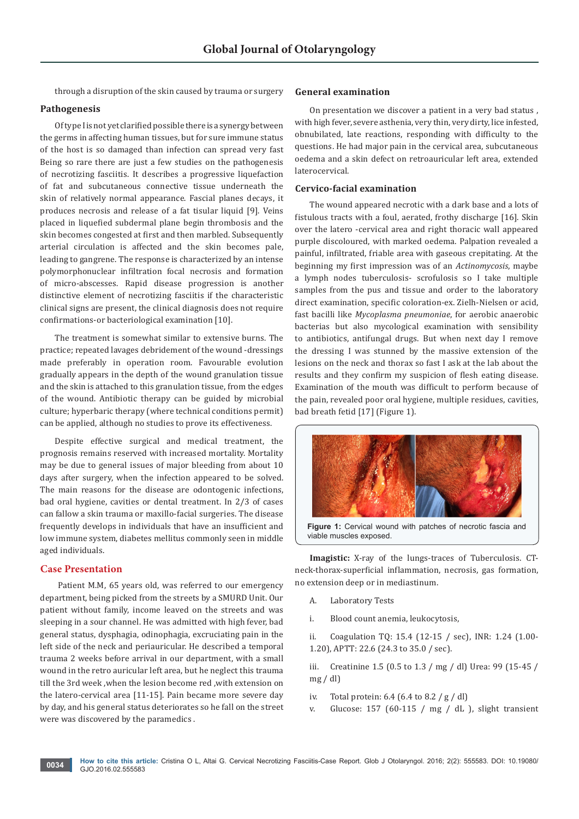through a disruption of the skin caused by trauma or surgery

#### **Pathogenesis**

Of type I is not yet clarified possible there is a synergy between the germs in affecting human tissues, but for sure immune status of the host is so damaged than infection can spread very fast Being so rare there are just a few studies on the pathogenesis of necrotizing fasciitis. It describes a progressive liquefaction of fat and subcutaneous connective tissue underneath the skin of relatively normal appearance. Fascial planes decays, it produces necrosis and release of a fat tisular liquid [9]. Veins placed in liquefied subdermal plane begin thrombosis and the skin becomes congested at first and then marbled. Subsequently arterial circulation is affected and the skin becomes pale, leading to gangrene. The response is characterized by an intense polymorphonuclear infiltration focal necrosis and formation of micro-abscesses. Rapid disease progression is another distinctive element of necrotizing fasciitis if the characteristic clinical signs are present, the clinical diagnosis does not require confirmations-or bacteriological examination [10].

The treatment is somewhat similar to extensive burns. The practice; repeated lavages debridement of the wound -dressings made preferably in operation room. Favourable evolution gradually appears in the depth of the wound granulation tissue and the skin is attached to this granulation tissue, from the edges of the wound. Antibiotic therapy can be guided by microbial culture; hyperbaric therapy (where technical conditions permit) can be applied, although no studies to prove its effectiveness.

Despite effective surgical and medical treatment, the prognosis remains reserved with increased mortality. Mortality may be due to general issues of major bleeding from about 10 days after surgery, when the infection appeared to be solved. The main reasons for the disease are odontogenic infections, bad oral hygiene, cavities or dental treatment. In 2/3 of cases can fallow a skin trauma or maxillo-facial surgeries. The disease frequently develops in individuals that have an insufficient and low immune system, diabetes mellitus commonly seen in middle aged individuals.

# **Case Presentation**

 Patient M.M, 65 years old, was referred to our emergency department, being picked from the streets by a SMURD Unit. Our patient without family, income leaved on the streets and was sleeping in a sour channel. He was admitted with high fever, bad general status, dysphagia, odinophagia, excruciating pain in the left side of the neck and periauricular. He described a temporal trauma 2 weeks before arrival in our department, with a small wound in the retro auricular left area, but he neglect this trauma till the 3rd week ,when the lesion become red ,with extension on the latero-cervical area [11-15]. Pain became more severe day by day, and his general status deteriorates so he fall on the street were was discovered by the paramedics .

#### **General examination**

On presentation we discover a patient in a very bad status , with high fever, severe asthenia, very thin, very dirty, lice infested, obnubilated, late reactions, responding with difficulty to the questions. He had major pain in the cervical area, subcutaneous oedema and a skin defect on retroauricular left area, extended laterocervical.

# **Cervico-facial examination**

The wound appeared necrotic with a dark base and a lots of fistulous tracts with a foul, aerated, frothy discharge [16]. Skin over the latero -cervical area and right thoracic wall appeared purple discoloured, with marked oedema. Palpation revealed a painful, infiltrated, friable area with gaseous crepitating. At the beginning my first impression was of an *Actinomycosis*, maybe a lymph nodes tuberculosis- scrofulosis so I take multiple samples from the pus and tissue and order to the laboratory direct examination, specific coloration-ex. Zielh-Nielsen or acid, fast bacilli like *Mycoplasma pneumoniae*, for aerobic anaerobic bacterias but also mycological examination with sensibility to antibiotics, antifungal drugs. But when next day I remove the dressing I was stunned by the massive extension of the lesions on the neck and thorax so fast I ask at the lab about the results and they confirm my suspicion of flesh eating disease. Examination of the mouth was difficult to perform because of the pain, revealed poor oral hygiene, multiple residues, cavities, bad breath fetid [17] (Figure 1).



Figure 1: Cervical wound with patches of necrotic fascia and viable muscles exposed.

**Imagistic:** X-ray of the lungs-traces of Tuberculosis. CTneck-thorax-superficial inflammation, necrosis, gas formation, no extension deep or in mediastinum.

A. Laboratory Tests

i. Blood count anemia, leukocytosis,

ii. Coagulation TQ: 15.4 (12-15 / sec), INR: 1.24 (1.00- 1.20), APTT: 22.6 (24.3 to 35.0 / sec).

iii. Creatinine 1.5 (0.5 to 1.3 / mg / dl) Urea: 99 (15-45 /  $mg / dl$ 

- iv. Total protein: 6.4 (6.4 to 8.2 / g / dl)
- v. Glucose: 157 (60-115 / mg / dL ), slight transient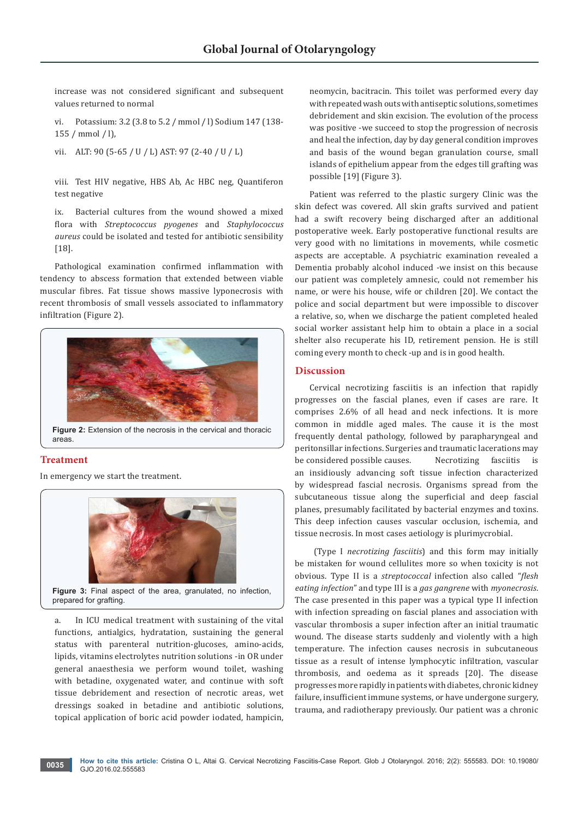increase was not considered significant and subsequent values returned to normal

vi. Potassium: 3.2 (3.8 to 5.2 / mmol / l) Sodium 147 (138- 155 / mmol / l),

vii. ALT: 90 (5-65 / U / L) AST: 97 (2-40 / U / L)

viii. Test HIV negative, HBS Ab, Ac HBC neg, Quantiferon test negative

ix. Bacterial cultures from the wound showed a mixed flora with *Streptococcus pyogenes* and *Staphylococcus aureus* could be isolated and tested for antibiotic sensibility [18].

Pathological examination confirmed inflammation with tendency to abscess formation that extended between viable muscular fibres. Fat tissue shows massive lyponecrosis with recent thrombosis of small vessels associated to inflammatory infiltration (Figure 2).



**Figure 2:** Extension of the necrosis in the cervical and thoracic areas.

# **Treatment**

In emergency we start the treatment.



Figure 3: Final aspect of the area, granulated, no infection, prepared for grafting.

a. In ICU medical treatment with sustaining of the vital functions, antialgics, hydratation, sustaining the general status with parenteral nutrition-glucoses, amino-acids, lipids, vitamins electrolytes nutrition solutions -in OR under general anaesthesia we perform wound toilet, washing with betadine, oxygenated water, and continue with soft tissue debridement and resection of necrotic areas, wet dressings soaked in betadine and antibiotic solutions, topical application of boric acid powder iodated, hampicin,

neomycin, bacitracin. This toilet was performed every day with repeated wash outs with antiseptic solutions, sometimes debridement and skin excision. The evolution of the process was positive -we succeed to stop the progression of necrosis and heal the infection, day by day general condition improves and basis of the wound began granulation course, small islands of epithelium appear from the edges till grafting was possible [19] (Figure 3).

Patient was referred to the plastic surgery Clinic was the skin defect was covered. All skin grafts survived and patient had a swift recovery being discharged after an additional postoperative week. Early postoperative functional results are very good with no limitations in movements, while cosmetic aspects are acceptable. A psychiatric examination revealed a Dementia probably alcohol induced -we insist on this because our patient was completely amnesic, could not remember his name, or were his house, wife or children [20]. We contact the police and social department but were impossible to discover a relative, so, when we discharge the patient completed healed social worker assistant help him to obtain a place in a social shelter also recuperate his ID, retirement pension. He is still coming every month to check -up and is in good health.

# **Discussion**

Cervical necrotizing fasciitis is an infection that rapidly progresses on the fascial planes, even if cases are rare. It comprises 2.6% of all head and neck infections. It is more common in middle aged males. The cause it is the most frequently dental pathology, followed by parapharyngeal and peritonsillar infections. Surgeries and traumatic lacerations may be considered possible causes. Necrotizing fasciitis is an insidiously advancing soft tissue infection characterized by widespread fascial necrosis. Organisms spread from the subcutaneous tissue along the superficial and deep fascial planes, presumably facilitated by bacterial enzymes and toxins. This deep infection causes vascular occlusion, ischemia, and tissue necrosis. In most cases aetiology is plurimycrobial.

 (Type I *necrotizing fasciitis*) and this form may initially be mistaken for wound cellulites more so when toxicity is not obvious. Type II is a *streptococcal* infection also called "*flesh eating infection*" and type III is a *gas gangrene* with *myonecrosis*. The case presented in this paper was a typical type II infection with infection spreading on fascial planes and association with vascular thrombosis a super infection after an initial traumatic wound. The disease starts suddenly and violently with a high temperature. The infection causes necrosis in subcutaneous tissue as a result of intense lymphocytic infiltration, vascular thrombosis, and oedema as it spreads [20]. The disease progresses more rapidly in patients with diabetes, chronic kidney failure, insufficient immune systems, or have undergone surgery, trauma, and radiotherapy previously. Our patient was a chronic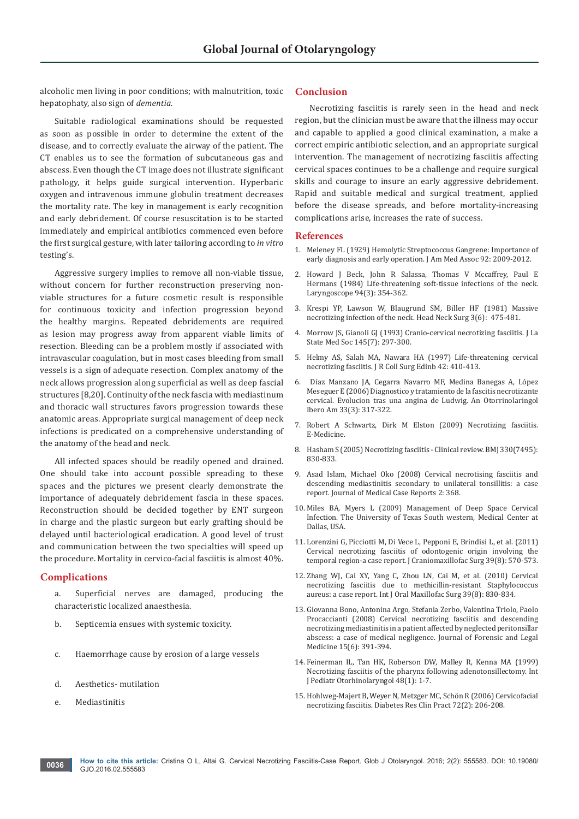alcoholic men living in poor conditions; with malnutrition, toxic hepatophaty, also sign of *dementia.*

Suitable radiological examinations should be requested as soon as possible in order to determine the extent of the disease, and to correctly evaluate the airway of the patient. The CT enables us to see the formation of subcutaneous gas and abscess. Even though the CT image does not illustrate significant pathology, it helps guide surgical intervention. Hyperbaric oxygen and intravenous immune globulin treatment decreases the mortality rate. The key in management is early recognition and early debridement. Of course resuscitation is to be started immediately and empirical antibiotics commenced even before the first surgical gesture, with later tailoring according to *in vitro* testing's.

Aggressive surgery implies to remove all non-viable tissue, without concern for further reconstruction preserving nonviable structures for a future cosmetic result is responsible for continuous toxicity and infection progression beyond the healthy margins. Repeated debridements are required as lesion may progress away from apparent viable limits of resection. Bleeding can be a problem mostly if associated with intravascular coagulation, but in most cases bleeding from small vessels is a sign of adequate resection. Complex anatomy of the neck allows progression along superficial as well as deep fascial structures [8,20]. Continuity of the neck fascia with mediastinum and thoracic wall structures favors progression towards these anatomic areas. Appropriate surgical management of deep neck infections is predicated on a comprehensive understanding of the anatomy of the head and neck.

All infected spaces should be readily opened and drained. One should take into account possible spreading to these spaces and the pictures we present clearly demonstrate the importance of adequately debridement fascia in these spaces. Reconstruction should be decided together by ENT surgeon in charge and the plastic surgeon but early grafting should be delayed until bacteriological eradication. A good level of trust and communication between the two specialties will speed up the procedure. Mortality in cervico-facial fasciitis is almost 40%.

# **Complications**

- a. Superficial nerves are damaged, producing the characteristic localized anaesthesia.
- b. Septicemia ensues with systemic toxicity.
- c. Haemorrhage cause by erosion of a large vessels
- d. Aesthetics- mutilation
- e. Mediastinitis

# **Conclusion**

Necrotizing fasciitis is rarely seen in the head and neck region, but the clinician must be aware that the illness may occur and capable to applied a good clinical examination, a make a correct empiric antibiotic selection, and an appropriate surgical intervention. The management of necrotizing fasciitis affecting cervical spaces continues to be a challenge and require surgical skills and courage to insure an early aggressive debridement. Rapid and suitable medical and surgical treatment, applied before the disease spreads, and before mortality-increasing complications arise, increases the rate of success.

#### **References**

- 1. Meleney FL (1929) Hemolytic Streptococcus Gangrene: Importance of early diagnosis and early operation. J Am Med Assoc 92: 2009-2012.
- 2. [Howard J Beck, John R Salassa, Thomas V Mccaffrey, Paul E](http://onlinelibrary.wiley.com/doi/10.1288/00005537-198403000-00012/abstract)  [Hermans \(1984\) Life-threatening soft-tissue infections of the neck.](http://onlinelibrary.wiley.com/doi/10.1288/00005537-198403000-00012/abstract)  [Laryngoscope 94\(3\): 354-362.](http://onlinelibrary.wiley.com/doi/10.1288/00005537-198403000-00012/abstract)
- 3. [Krespi YP, Lawson W, Blaugrund SM, Biller HF \(1981\) Massive](https://www.ncbi.nlm.nih.gov/pubmed/7251372)  [necrotizing infection of the neck. Head Neck Surg 3\(6\): 475-481.](https://www.ncbi.nlm.nih.gov/pubmed/7251372)
- 4. [Morrow JS, Gianoli GJ \(1993\) Cranio-cervical necrotizing fasciitis. J La](https://www.ncbi.nlm.nih.gov/pubmed/8228536)  [State Med Soc 145\(7\): 297-300.](https://www.ncbi.nlm.nih.gov/pubmed/8228536)
- 5. Helmy AS, Salah MA, Nawara HA (1997) Life-threatening cervical necrotizing fasciitis. J R Coll Surg Edinb 42: 410-413.
- 6. [Díaz Manzano JA, Cegarra Navarro MF, Medina Banegas A, López](https://www.ncbi.nlm.nih.gov/pubmed/16881558)  [Meseguer E \(2006\) Diagnostico y tratamiento de la fascitis necrotizante](https://www.ncbi.nlm.nih.gov/pubmed/16881558)  [cervical. Evolucion tras una angina de Ludwig. An Otorrinolaringol](https://www.ncbi.nlm.nih.gov/pubmed/16881558)  [Ibero Am 33\(3\): 317-322.](https://www.ncbi.nlm.nih.gov/pubmed/16881558)
- 7. [Robert A Schwartz, Dirk M Elston \(2009\) Necrotizing fasciitis.](http://emedicine.medscape.com/article/1054438-overview)  [E-Medicine.](http://emedicine.medscape.com/article/1054438-overview)
- 8. [Hasham S \(2005\) Necrotizing fasciitis Clinical review. BMJ 330\(7495\):](https://www.ncbi.nlm.nih.gov/pubmed/15817551)  [830-833.](https://www.ncbi.nlm.nih.gov/pubmed/15817551)
- 9. Asad Islam, Michael Oko (2008) Cervical necrotising fasciitis and descending mediastinitis secondary to unilateral tonsillitis: a case report. Journal of Medical Case Reports 2: 368.
- 10. Miles BA, Myers L (2009) Management of Deep Space Cervical Infection. The University of Texas South western, Medical Center at Dallas, USA.
- 11. [Lorenzini G, Picciotti M, Di Vece L, Pepponi E, Brindisi L, et al.](https://www.ncbi.nlm.nih.gov/pubmed/22036666) (2011) [Cervical necrotizing fasciitis of odontogenic origin involving the](https://www.ncbi.nlm.nih.gov/pubmed/22036666)  temporal region-a case report. [J Craniomaxillofac Surg 39\(8\): 570-573.](https://www.ncbi.nlm.nih.gov/pubmed/22036666)
- 12. [Zhang WJ, Cai XY, Yang C, Zhou LN, Cai M, et al.](https://www.ncbi.nlm.nih.gov/pubmed/20417058) (2010) Cervical [necrotizing fasciitis due to methicillin-resistant Staphylococcus](https://www.ncbi.nlm.nih.gov/pubmed/20417058)  aureus: a case report. [Int J Oral Maxillofac Surg 39\(8\): 830-834.](https://www.ncbi.nlm.nih.gov/pubmed/20417058)
- 13. [Giovanna Bono, Antonina Argo, Stefania Zerbo, Valentina Triolo, Paolo](http://www.sciencedirect.com/science/article/pii/S1752928X08000048)  [Procaccianti \(2008\) Cervical necrotizing fasciitis and descending](http://www.sciencedirect.com/science/article/pii/S1752928X08000048)  [necrotizing mediastinitis in a patient affected by neglected peritonsillar](http://www.sciencedirect.com/science/article/pii/S1752928X08000048)  [abscess: a case of medical negligence. Journal of Forensic and Legal](http://www.sciencedirect.com/science/article/pii/S1752928X08000048)  [Medicine 15\(6\): 391-394.](http://www.sciencedirect.com/science/article/pii/S1752928X08000048)
- 14. [Feinerman IL, Tan HK, Roberson DW, Malley R, Kenna MA \(1999\)](https://www.ncbi.nlm.nih.gov/pubmed/10365966)  [Necrotizing fasciitis of the pharynx following adenotonsillectomy. Int](https://www.ncbi.nlm.nih.gov/pubmed/10365966)  [J Pediatr Otorhinolaryngol 48\(1\): 1-7.](https://www.ncbi.nlm.nih.gov/pubmed/10365966)
- 15. [Hohlweg-Majert B, Weyer N, Metzger MC, Schön R \(2006\) Cervicofacial](https://www.ncbi.nlm.nih.gov/pubmed/16446008)  necrotizing fasciitis. [Diabetes Res Clin Pract 72\(2\): 206-208.](https://www.ncbi.nlm.nih.gov/pubmed/16446008)